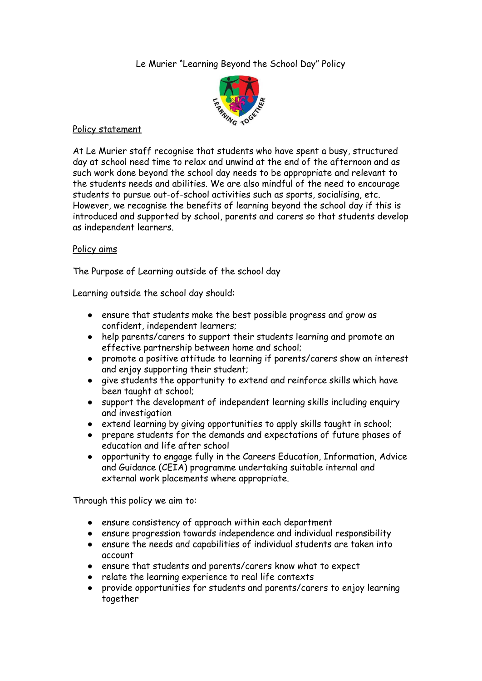Le Murier "Learning Beyond the School Day" Policy



## Policy statement

At Le Murier staff recognise that students who have spent a busy, structured day at school need time to relax and unwind at the end of the afternoon and as such work done beyond the school day needs to be appropriate and relevant to the students needs and abilities. We are also mindful of the need to encourage students to pursue out-of-school activities such as sports, socialising, etc. However, we recognise the benefits of learning beyond the school day if this is introduced and supported by school, parents and carers so that students develop as independent learners.

# Policy aims

The Purpose of Learning outside of the school day

Learning outside the school day should:

- ensure that students make the best possible progress and grow as confident, independent learners;
- help parents/carers to support their students learning and promote an effective partnership between home and school;
- promote a positive attitude to learning if parents/carers show an interest and enjoy supporting their student;
- give students the opportunity to extend and reinforce skills which have been taught at school;
- support the development of independent learning skills including enquiry and investigation
- extend learning by giving opportunities to apply skills taught in school;
- prepare students for the demands and expectations of future phases of education and life after school
- opportunity to engage fully in the Careers Education, Information, Advice and Guidance (CEIA) programme undertaking suitable internal and external work placements where appropriate.

Through this policy we aim to:

- ensure consistency of approach within each department
- ensure progression towards independence and individual responsibility
- ensure the needs and capabilities of individual students are taken into account
- ensure that students and parents/carers know what to expect
- relate the learning experience to real life contexts
- provide opportunities for students and parents/carers to enjoy learning together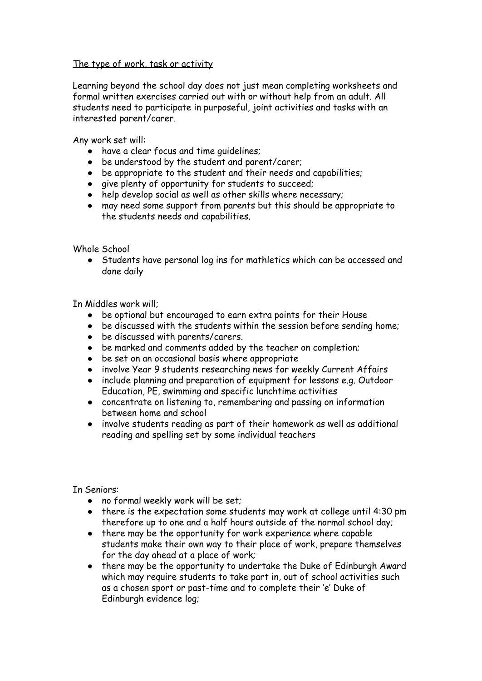#### The type of work, task or activity

Learning beyond the school day does not just mean completing worksheets and formal written exercises carried out with or without help from an adult. All students need to participate in purposeful, joint activities and tasks with an interested parent/carer.

Any work set will:

- have a clear focus and time guidelines;
- be understood by the student and parent/carer;
- be appropriate to the student and their needs and capabilities;
- give plenty of opportunity for students to succeed;
- help develop social as well as other skills where necessary;
- may need some support from parents but this should be appropriate to the students needs and capabilities.

Whole School

● Students have personal log ins for mathletics which can be accessed and done daily

In Middles work will;

- be optional but encouraged to earn extra points for their House
- be discussed with the students within the session before sending home;
- be discussed with parents/carers.
- be marked and comments added by the teacher on completion;
- be set on an occasional basis where appropriate
- involve Year 9 students researching news for weekly Current Affairs
- include planning and preparation of equipment for lessons e.g. Outdoor Education, PE, swimming and specific lunchtime activities
- concentrate on listening to, remembering and passing on information between home and school
- involve students reading as part of their homework as well as additional reading and spelling set by some individual teachers

In Seniors:

- no formal weekly work will be set;
- there is the expectation some students may work at college until 4:30 pm therefore up to one and a half hours outside of the normal school day;
- there may be the opportunity for work experience where capable students make their own way to their place of work, prepare themselves for the day ahead at a place of work;
- there may be the opportunity to undertake the Duke of Edinburgh Award which may require students to take part in, out of school activities such as a chosen sport or past-time and to complete their 'e' Duke of Edinburgh evidence log;